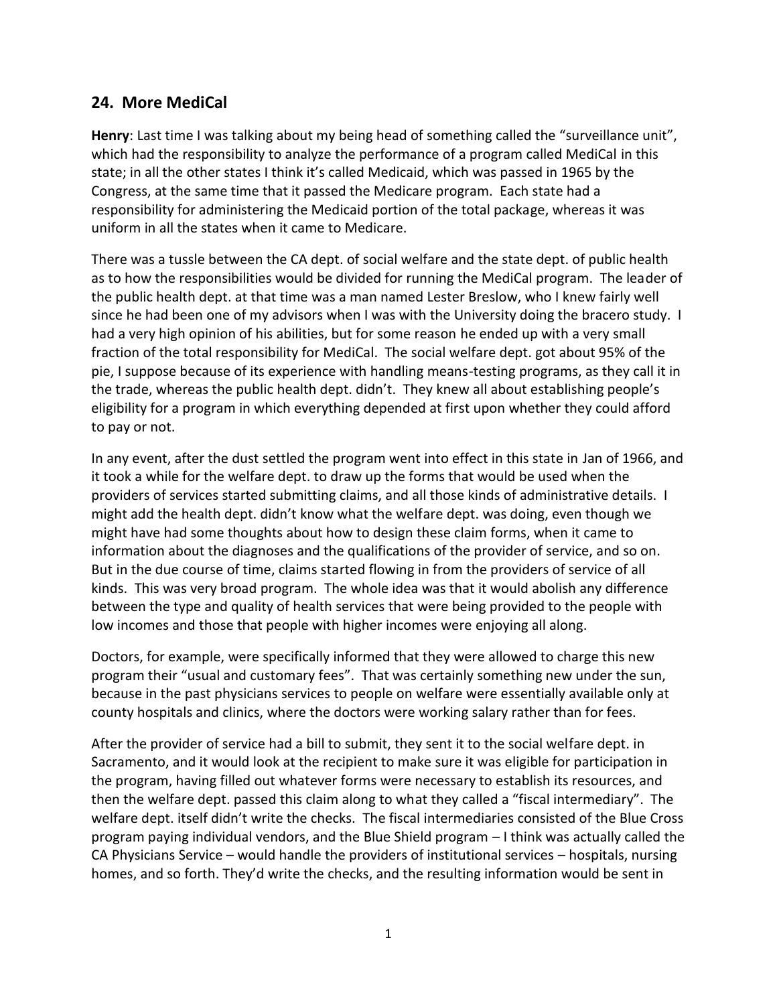## **24. More MediCal**

Henry: Last time I was talking about my being head of something called the "surveillance unit", which had the responsibility to analyze the performance of a program called MediCal in this state; in all the other states I think it's called Medicaid, which was passed in 1965 by the Congress, at the same time that it passed the Medicare program. Each state had a responsibility for administering the Medicaid portion of the total package, whereas it was uniform in all the states when it came to Medicare.

There was a tussle between the CA dept. of social welfare and the state dept. of public health as to how the responsibilities would be divided for running the MediCal program. The leader of the public health dept. at that time was a man named Lester Breslow, who I knew fairly well since he had been one of my advisors when I was with the University doing the bracero study. I had a very high opinion of his abilities, but for some reason he ended up with a very small fraction of the total responsibility for MediCal. The social welfare dept. got about 95% of the pie, I suppose because of its experience with handling means-testing programs, as they call it in the trade, whereas the public health dept. didn't. They knew all about establishing people's eligibility for a program in which everything depended at first upon whether they could afford to pay or not.

In any event, after the dust settled the program went into effect in this state in Jan of 1966, and it took a while for the welfare dept. to draw up the forms that would be used when the providers of services started submitting claims, and all those kinds of administrative details. I might add the health dept. didn't know what the welfare dept. was doing, even though we might have had some thoughts about how to design these claim forms, when it came to information about the diagnoses and the qualifications of the provider of service, and so on. But in the due course of time, claims started flowing in from the providers of service of all kinds. This was very broad program. The whole idea was that it would abolish any difference between the type and quality of health services that were being provided to the people with low incomes and those that people with higher incomes were enjoying all along.

Doctors, for example, were specifically informed that they were allowed to charge this new program their "usual and customary fees". That was certainly something new under the sun, because in the past physicians services to people on welfare were essentially available only at county hospitals and clinics, where the doctors were working salary rather than for fees.

After the provider of service had a bill to submit, they sent it to the social welfare dept. in Sacramento, and it would look at the recipient to make sure it was eligible for participation in the program, having filled out whatever forms were necessary to establish its resources, and then the welfare dept. passed this claim along to what they called a "fiscal intermediary". The welfare dept. itself didn't write the checks. The fiscal intermediaries consisted of the Blue Cross program paying individual vendors, and the Blue Shield program – I think was actually called the CA Physicians Service – would handle the providers of institutional services – hospitals, nursing homes, and so forth. They'd write the checks, and the resulting information would be sent in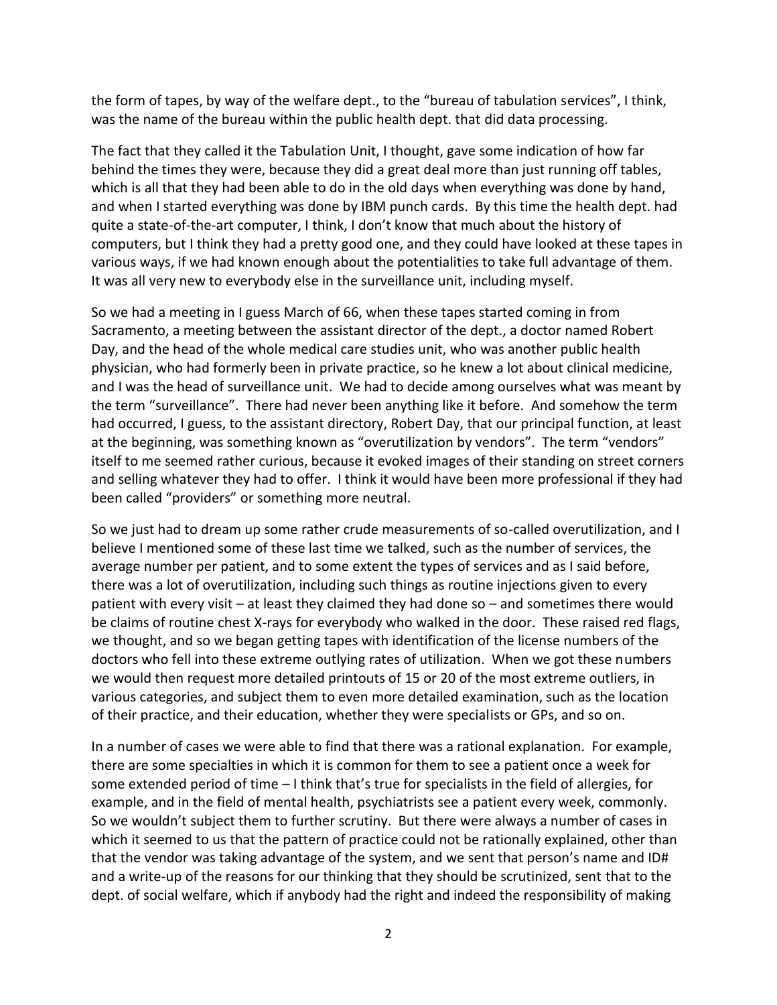the form of tapes, by way of the welfare dept., to the "bureau of tabulation services", I think, was the name of the bureau within the public health dept. that did data processing.

The fact that they called it the Tabulation Unit, I thought, gave some indication of how far behind the times they were, because they did a great deal more than just running off tables, which is all that they had been able to do in the old days when everything was done by hand, and when I started everything was done by IBM punch cards. By this time the health dept. had quite a state-of-the-art computer, I think, I don't know that much about the history of computers, but I think they had a pretty good one, and they could have looked at these tapes in various ways, if we had known enough about the potentialities to take full advantage of them. It was all very new to everybody else in the surveillance unit, including myself.

So we had a meeting in I guess March of 66, when these tapes started coming in from Sacramento, a meeting between the assistant director of the dept., a doctor named Robert Day, and the head of the whole medical care studies unit, who was another public health physician, who had formerly been in private practice, so he knew a lot about clinical medicine, and I was the head of surveillance unit. We had to decide among ourselves what was meant by the term "surveillance". There had never been anything like it before. And somehow the term had occurred, I guess, to the assistant directory, Robert Day, that our principal function, at least at the beginning, was something known as "overutilization by vendors". The term "vendors" itself to me seemed rather curious, because it evoked images of their standing on street corners and selling whatever they had to offer. I think it would have been more professional if they had been called "providers" or something more neutral.

So we just had to dream up some rather crude measurements of so-called overutilization, and I believe I mentioned some of these last time we talked, such as the number of services, the average number per patient, and to some extent the types of services and as I said before, there was a lot of overutilization, including such things as routine injections given to every patient with every visit – at least they claimed they had done so – and sometimes there would be claims of routine chest X-rays for everybody who walked in the door. These raised red flags, we thought, and so we began getting tapes with identification of the license numbers of the doctors who fell into these extreme outlying rates of utilization. When we got these numbers we would then request more detailed printouts of 15 or 20 of the most extreme outliers, in various categories, and subject them to even more detailed examination, such as the location of their practice, and their education, whether they were specialists or GPs, and so on.

In a number of cases we were able to find that there was a rational explanation. For example, there are some specialties in which it is common for them to see a patient once a week for some extended period of time – I think that's true for specialists in the field of allergies, for example, and in the field of mental health, psychiatrists see a patient every week, commonly. So we wouldn't subject them to further scrutiny. But there were always a number of cases in which it seemed to us that the pattern of practice could not be rationally explained, other than that the vendor was taking advantage of the system, and we sent that person's name and ID# and a write-up of the reasons for our thinking that they should be scrutinized, sent that to the dept. of social welfare, which if anybody had the right and indeed the responsibility of making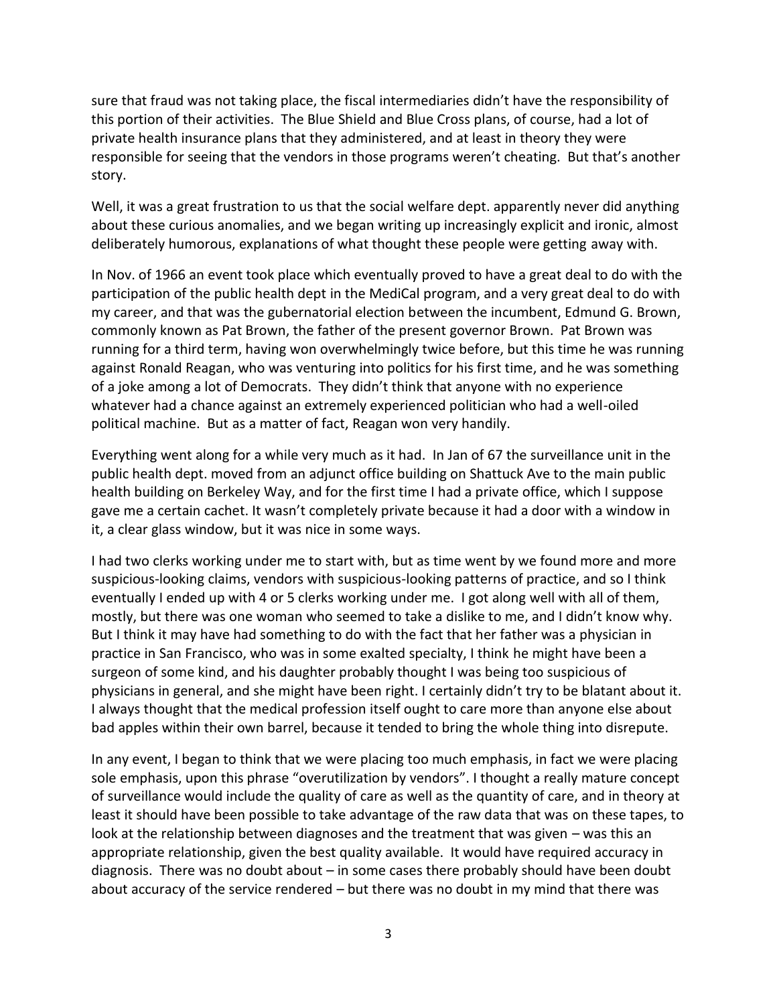sure that fraud was not taking place, the fiscal intermediaries didn't have the responsibility of this portion of their activities. The Blue Shield and Blue Cross plans, of course, had a lot of private health insurance plans that they administered, and at least in theory they were responsible for seeing that the vendors in those programs weren't cheating. But that's another story.

Well, it was a great frustration to us that the social welfare dept. apparently never did anything about these curious anomalies, and we began writing up increasingly explicit and ironic, almost deliberately humorous, explanations of what thought these people were getting away with.

In Nov. of 1966 an event took place which eventually proved to have a great deal to do with the participation of the public health dept in the MediCal program, and a very great deal to do with my career, and that was the gubernatorial election between the incumbent, Edmund G. Brown, commonly known as Pat Brown, the father of the present governor Brown. Pat Brown was running for a third term, having won overwhelmingly twice before, but this time he was running against Ronald Reagan, who was venturing into politics for his first time, and he was something of a joke among a lot of Democrats. They didn't think that anyone with no experience whatever had a chance against an extremely experienced politician who had a well-oiled political machine. But as a matter of fact, Reagan won very handily.

Everything went along for a while very much as it had. In Jan of 67 the surveillance unit in the public health dept. moved from an adjunct office building on Shattuck Ave to the main public health building on Berkeley Way, and for the first time I had a private office, which I suppose gave me a certain cachet. It wasn't completely private because it had a door with a window in it, a clear glass window, but it was nice in some ways.

I had two clerks working under me to start with, but as time went by we found more and more suspicious-looking claims, vendors with suspicious-looking patterns of practice, and so I think eventually I ended up with 4 or 5 clerks working under me. I got along well with all of them, mostly, but there was one woman who seemed to take a dislike to me, and I didn't know why. But I think it may have had something to do with the fact that her father was a physician in practice in San Francisco, who was in some exalted specialty, I think he might have been a surgeon of some kind, and his daughter probably thought I was being too suspicious of physicians in general, and she might have been right. I certainly didn't try to be blatant about it. I always thought that the medical profession itself ought to care more than anyone else about bad apples within their own barrel, because it tended to bring the whole thing into disrepute.

In any event, I began to think that we were placing too much emphasis, in fact we were placing sole emphasis, upon this phrase "overutilization by vendors". I thought a really mature concept of surveillance would include the quality of care as well as the quantity of care, and in theory at least it should have been possible to take advantage of the raw data that was on these tapes, to look at the relationship between diagnoses and the treatment that was given – was this an appropriate relationship, given the best quality available. It would have required accuracy in diagnosis. There was no doubt about – in some cases there probably should have been doubt about accuracy of the service rendered – but there was no doubt in my mind that there was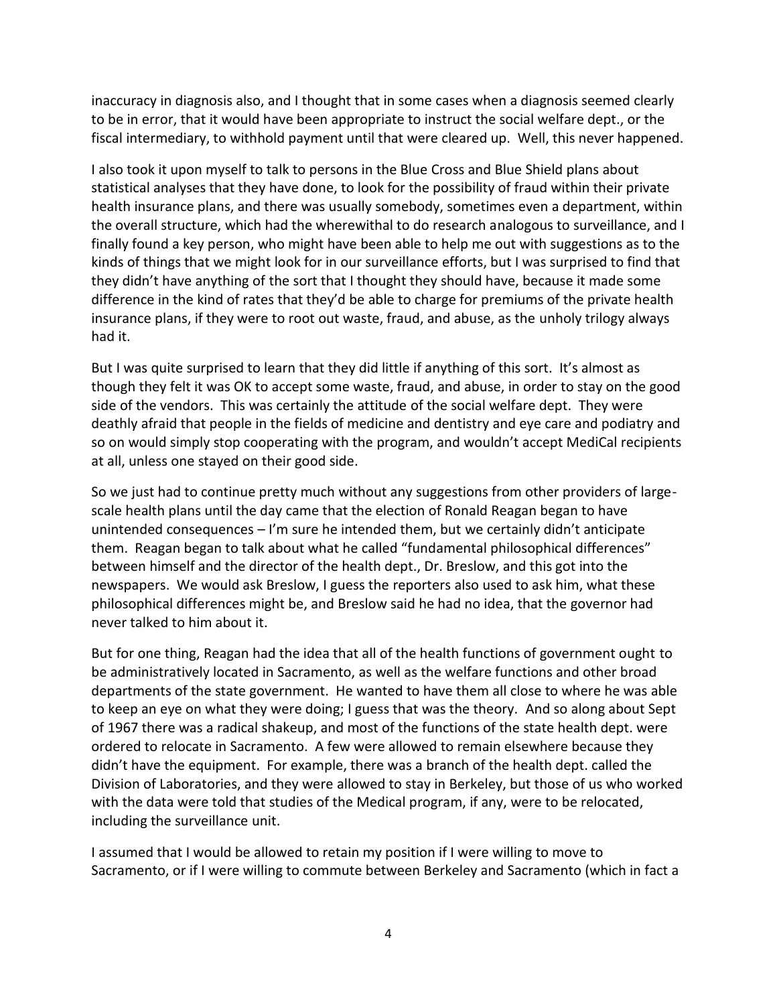inaccuracy in diagnosis also, and I thought that in some cases when a diagnosis seemed clearly to be in error, that it would have been appropriate to instruct the social welfare dept., or the fiscal intermediary, to withhold payment until that were cleared up. Well, this never happened.

I also took it upon myself to talk to persons in the Blue Cross and Blue Shield plans about statistical analyses that they have done, to look for the possibility of fraud within their private health insurance plans, and there was usually somebody, sometimes even a department, within the overall structure, which had the wherewithal to do research analogous to surveillance, and I finally found a key person, who might have been able to help me out with suggestions as to the kinds of things that we might look for in our surveillance efforts, but I was surprised to find that they didn't have anything of the sort that I thought they should have, because it made some difference in the kind of rates that they'd be able to charge for premiums of the private health insurance plans, if they were to root out waste, fraud, and abuse, as the unholy trilogy always had it.

But I was quite surprised to learn that they did little if anything of this sort. It's almost as though they felt it was OK to accept some waste, fraud, and abuse, in order to stay on the good side of the vendors. This was certainly the attitude of the social welfare dept. They were deathly afraid that people in the fields of medicine and dentistry and eye care and podiatry and so on would simply stop cooperating with the program, and wouldn't accept MediCal recipients at all, unless one stayed on their good side.

So we just had to continue pretty much without any suggestions from other providers of large scale health plans until the day came that the election of Ronald Reagan began to have unintended consequences – I'm sure he intended them, but we certainly didn't anticipate them. Reagan began to talk about what he called "fundamental philosophical differences" between himself and the director of the health dept., Dr. Breslow, and this got into the newspapers. We would ask Breslow, I guess the reporters also used to ask him, what these philosophical differences might be, and Breslow said he had no idea, that the governor had never talked to him about it.

But for one thing, Reagan had the idea that all of the health functions of government ought to be administratively located in Sacramento, as well as the welfare functions and other broad departments of the state government. He wanted to have them all close to where he was able to keep an eye on what they were doing; I guess that was the theory. And so along about Sept of 1967 there was a radical shakeup, and most of the functions of the state health dept. were ordered to relocate in Sacramento. A few were allowed to remain elsewhere because they didn't have the equipment. For example, there was a branch of the health dept. called the Division of Laboratories, and they were allowed to stay in Berkeley, but those of us who worked with the data were told that studies of the Medical program, if any, were to be relocated, including the surveillance unit.

I assumed that I would be allowed to retain my position if I were willing to move to Sacramento, or if I were willing to commute between Berkeley and Sacramento (which in fact a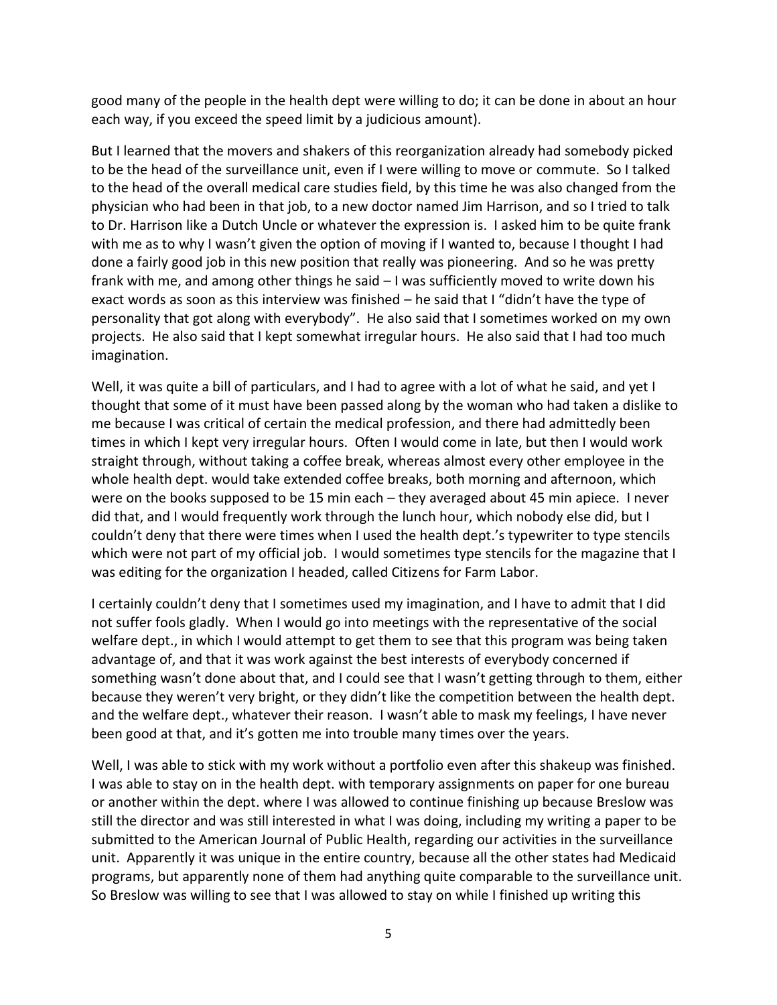good many of the people in the health dept were willing to do; it can be done in about an hour each way, if you exceed the speed limit by a judicious amount).

But I learned that the movers and shakers of this reorganization already had somebody picked to be the head of the surveillance unit, even if I were willing to move or commute. So I talked to the head of the overall medical care studies field, by this time he was also changed from the physician who had been in that job, to a new doctor named Jim Harrison, and so I tried to talk to Dr. Harrison like a Dutch Uncle or whatever the expression is. I asked him to be quite frank with me as to why I wasn't given the option of moving if I wanted to, because I thought I had done a fairly good job in this new position that really was pioneering. And so he was pretty frank with me, and among other things he said – I was sufficiently moved to write down his exact words as soon as this interview was finished – he said that I "didn't have the type of personality that got along with everybody". He also said that I sometimes worked on my own projects. He also said that I kept somewhat irregular hours. He also said that I had too much imagination.

Well, it was quite a bill of particulars, and I had to agree with a lot of what he said, and yet I thought that some of it must have been passed along by the woman who had taken a dislike to me because I was critical of certain the medical profession, and there had admittedly been times in which I kept very irregular hours. Often I would come in late, but then I would work straight through, without taking a coffee break, whereas almost every other employee in the whole health dept. would take extended coffee breaks, both morning and afternoon, which were on the books supposed to be 15 min each – they averaged about 45 min apiece. I never did that, and I would frequently work through the lunch hour, which nobody else did, but I couldn't deny that there were times when I used the health dept.'s typewriter to type stencils which were not part of my official job. I would sometimes type stencils for the magazine that I was editing for the organization I headed, called Citizens for Farm Labor.

I certainly couldn't deny that I sometimes used my imagination, and I have to admit that I did not suffer fools gladly. When I would go into meetings with the representative of the social welfare dept., in which I would attempt to get them to see that this program was being taken advantage of, and that it was work against the best interests of everybody concerned if something wasn't done about that, and I could see that I wasn't getting through to them, either because they weren't very bright, or they didn't like the competition between the health dept. and the welfare dept., whatever their reason. I wasn't able to mask my feelings, I have never been good at that, and it's gotten me into trouble many times over the years.

Well, I was able to stick with my work without a portfolio even after this shakeup was finished. I was able to stay on in the health dept. with temporary assignments on paper for one bureau or another within the dept. where I was allowed to continue finishing up because Breslow was still the director and was still interested in what I was doing, including my writing a paper to be submitted to the American Journal of Public Health, regarding our activities in the surveillance unit. Apparently it was unique in the entire country, because all the other states had Medicaid programs, but apparently none of them had anything quite comparable to the surveillance unit. So Breslow was willing to see that I was allowed to stay on while I finished up writing this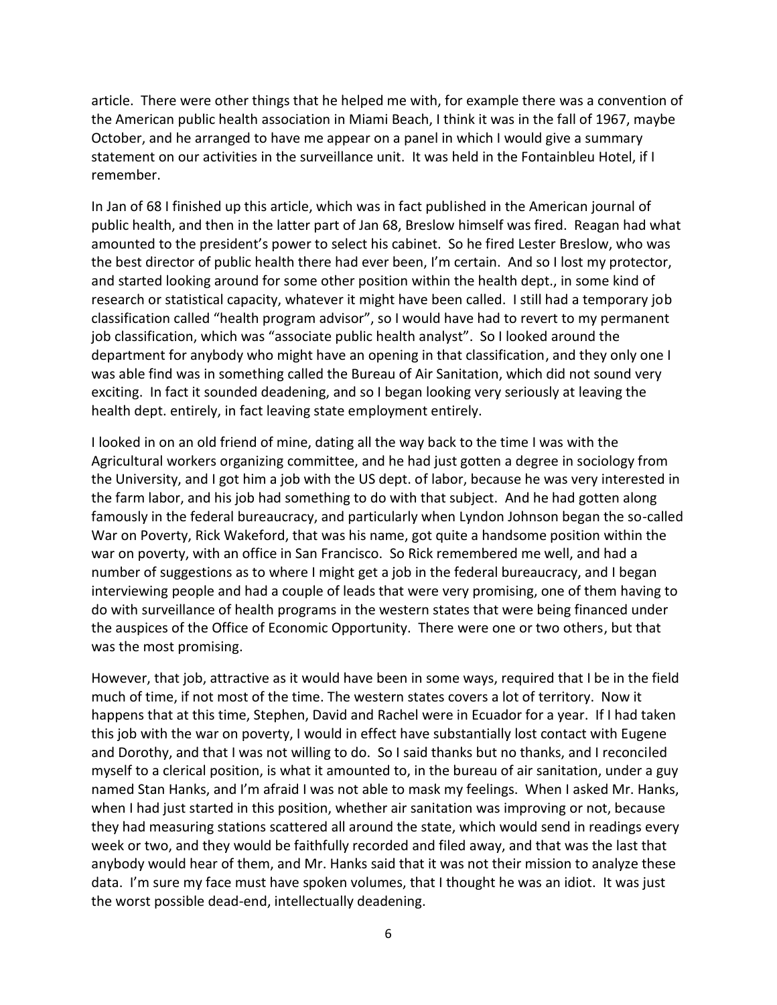article. There were other things that he helped me with, for example there was a convention of the American public health association in Miami Beach, I think it was in the fall of 1967, maybe October, and he arranged to have me appear on a panel in which I would give a summary statement on our activities in the surveillance unit. It was held in the Fontainbleu Hotel, if I remember.

In Jan of 68 I finished up this article, which was in fact published in the American journal of public health, and then in the latter part of Jan 68, Breslow himself was fired. Reagan had what amounted to the president's power to select his cabinet. So he fired Lester Breslow, who was the best director of public health there had ever been, I'm certain. And so I lost my protector, and started looking around for some other position within the health dept., in some kind of research or statistical capacity, whatever it might have been called. I still had a temporary job classification called "health program advisor", so I would have had to revert to my permanent job classification, which was "associate public health analyst". So I looked around the department for anybody who might have an opening in that classification, and they only one I was able find was in something called the Bureau of Air Sanitation, which did not sound very exciting. In fact it sounded deadening, and so I began looking very seriously at leaving the health dept. entirely, in fact leaving state employment entirely.

I looked in on an old friend of mine, dating all the way back to the time I was with the Agricultural workers organizing committee, and he had just gotten a degree in sociology from the University, and I got him a job with the US dept. of labor, because he was very interested in the farm labor, and his job had something to do with that subject. And he had gotten along famously in the federal bureaucracy, and particularly when Lyndon Johnson began the so-called War on Poverty, Rick Wakeford, that was his name, got quite a handsome position within the war on poverty, with an office in San Francisco. So Rick remembered me well, and had a number of suggestions as to where I might get a job in the federal bureaucracy, and I began interviewing people and had a couple of leads that were very promising, one of them having to do with surveillance of health programs in the western states that were being financed under the auspices of the Office of Economic Opportunity. There were one or two others, but that was the most promising.

However, that job, attractive as it would have been in some ways, required that I be in the field much of time, if not most of the time. The western states covers a lot of territory. Now it happens that at this time, Stephen, David and Rachel were in Ecuador for a year. If I had taken this job with the war on poverty, I would in effect have substantially lost contact with Eugene and Dorothy, and that I was not willing to do. So I said thanks but no thanks, and I reconciled myself to a clerical position, is what it amounted to, in the bureau of air sanitation, under a guy named Stan Hanks, and I'm afraid I was not able to mask my feelings. When I asked Mr. Hanks, when I had just started in this position, whether air sanitation was improving or not, because they had measuring stations scattered all around the state, which would send in readings every week or two, and they would be faithfully recorded and filed away, and that was the last that anybody would hear of them, and Mr. Hanks said that it was not their mission to analyze these data. I'm sure my face must have spoken volumes, that I thought he was an idiot. It was just the worst possible dead-end, intellectually deadening.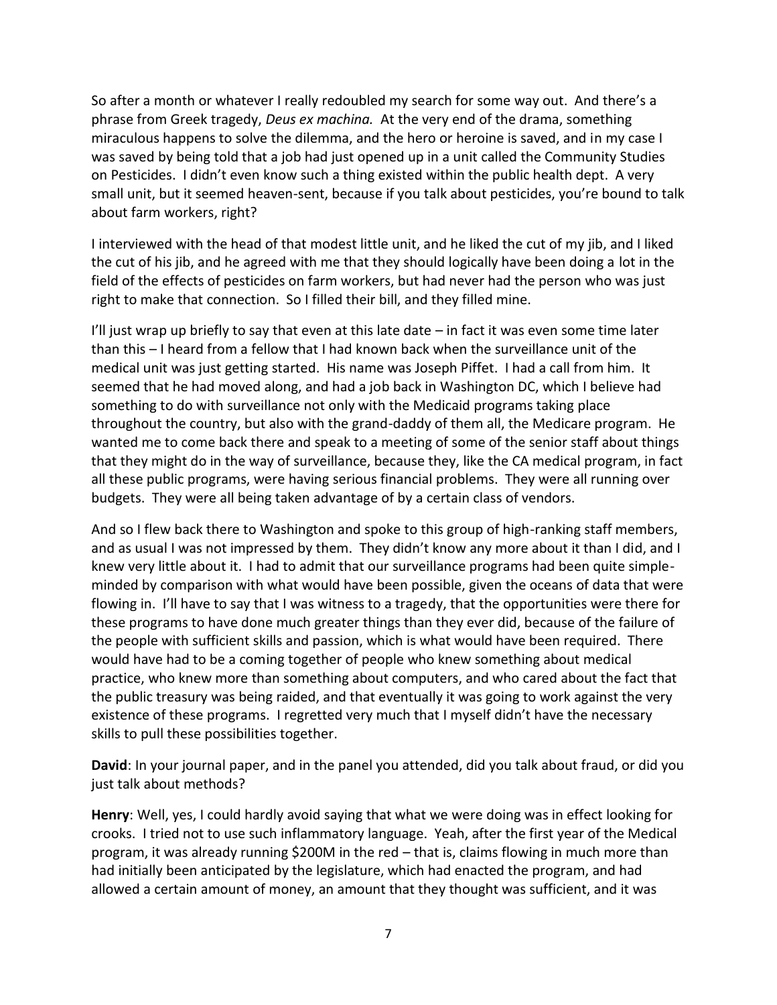So after a month or whatever I really redoubled my search for some way out. And there's a phrase from Greek tragedy, *Deus ex machina.* At the very end of the drama, something miraculous happens to solve the dilemma, and the hero or heroine is saved, and in my case I was saved by being told that a job had just opened up in a unit called the Community Studies on Pesticides. I didn't even know such a thing existed within the public health dept. A very small unit, but it seemed heaven-sent, because if you talk about pesticides, you're bound to talk about farm workers, right?

I interviewed with the head of that modest little unit, and he liked the cut of my jib, and I liked the cut of his jib, and he agreed with me that they should logically have been doing a lot in the field of the effects of pesticides on farm workers, but had never had the person who was just right to make that connection. So I filled their bill, and they filled mine.

I'll just wrap up briefly to say that even at this late date  $-$  in fact it was even some time later than this – I heard from a fellow that I had known back when the surveillance unit of the medical unit was just getting started. His name was Joseph Piffet. I had a call from him. It seemed that he had moved along, and had a job back in Washington DC, which I believe had something to do with surveillance not only with the Medicaid programs taking place throughout the country, but also with the grand-daddy of them all, the Medicare program. He wanted me to come back there and speak to a meeting of some of the senior staff about things that they might do in the way of surveillance, because they, like the CA medical program, in fact all these public programs, were having serious financial problems. They were all running over budgets. They were all being taken advantage of by a certain class of vendors.

And so I flew back there to Washington and spoke to this group of high-ranking staff members, and as usual I was not impressed by them. They didn't know any more about it than I did, and I knew very little about it. I had to admit that our surveillance programs had been quite simple minded by comparison with what would have been possible, given the oceans of data that were flowing in. I'll have to say that I was witness to a tragedy, that the opportunities were there for these programs to have done much greater things than they ever did, because of the failure of the people with sufficient skills and passion, which is what would have been required. There would have had to be a coming together of people who knew something about medical practice, who knew more than something about computers, and who cared about the fact that the public treasury was being raided, and that eventually it was going to work against the very existence of these programs. I regretted very much that I myself didn't have the necessary skills to pull these possibilities together.

**David**: In your journal paper, and in the panel you attended, did you talk about fraud, or did you just talk about methods?

**Henry**: Well, yes, I could hardly avoid saying that what we were doing was in effect looking for crooks. I tried not to use such inflammatory language. Yeah, after the first year of the Medical program, it was already running \$200M in the red – that is, claims flowing in much more than had initially been anticipated by the legislature, which had enacted the program, and had allowed a certain amount of money, an amount that they thought was sufficient, and it was